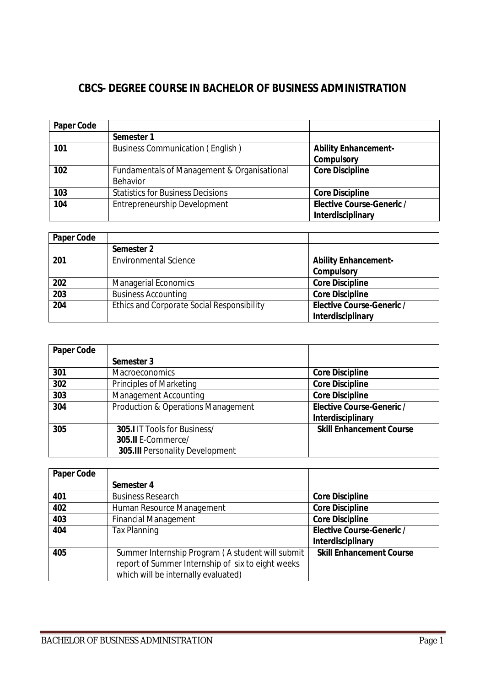# **CBCS- DEGREE COURSE IN BACHELOR OF BUSINESS ADMINISTRATION**

| <b>Paper Code</b> |                                             |                                  |
|-------------------|---------------------------------------------|----------------------------------|
|                   | Semester 1                                  |                                  |
| 101               | <b>Business Communication (English)</b>     | <b>Ability Enhancement-</b>      |
|                   |                                             | <b>Compulsory</b>                |
| 102               | Fundamentals of Management & Organisational | <b>Core Discipline</b>           |
|                   | Behavior                                    |                                  |
| 103               | <b>Statistics for Business Decisions</b>    | <b>Core Discipline</b>           |
| 104               | Entrepreneurship Development                | <b>Elective Course-Generic /</b> |
|                   |                                             | Interdisciplinary                |

| <b>Paper Code</b> |                                                   |                                  |
|-------------------|---------------------------------------------------|----------------------------------|
|                   | Semester 2                                        |                                  |
| 201               | <b>Environmental Science</b>                      | <b>Ability Enhancement-</b>      |
|                   |                                                   | <b>Compulsory</b>                |
| 202               | <b>Managerial Economics</b>                       | <b>Core Discipline</b>           |
| 203               | <b>Business Accounting</b>                        | <b>Core Discipline</b>           |
| 204               | <b>Ethics and Corporate Social Responsibility</b> | <b>Elective Course-Generic /</b> |
|                   |                                                   | <b>Interdisciplinary</b>         |

| <b>Paper Code</b> |                                               |                                  |
|-------------------|-----------------------------------------------|----------------------------------|
|                   | Semester 3                                    |                                  |
| 301               | <b>Macroeconomics</b>                         | <b>Core Discipline</b>           |
| 302               | Principles of Marketing                       | <b>Core Discipline</b>           |
| 303               | <b>Management Accounting</b>                  | <b>Core Discipline</b>           |
| 304               | <b>Production &amp; Operations Management</b> | <b>Elective Course-Generic /</b> |
|                   |                                               | Interdisciplinary                |
| 305               | <b>305.I</b> IT Tools for Business/           | <b>Skill Enhancement Course</b>  |
|                   | 305.II E-Commerce/                            |                                  |
|                   | <b>305.III</b> Personality Development        |                                  |

| <b>Paper Code</b> |                                                   |                                  |
|-------------------|---------------------------------------------------|----------------------------------|
|                   | Semester 4                                        |                                  |
| 401               | <b>Business Research</b>                          | <b>Core Discipline</b>           |
| 402               | Human Resource Management                         | <b>Core Discipline</b>           |
| 403               | <b>Financial Management</b>                       | <b>Core Discipline</b>           |
| 404               | <b>Tax Planning</b>                               | <b>Elective Course-Generic /</b> |
|                   |                                                   | Interdisciplinary                |
| 405               | Summer Internship Program (A student will submit  | <b>Skill Enhancement Course</b>  |
|                   | report of Summer Internship of six to eight weeks |                                  |
|                   | which will be internally evaluated)               |                                  |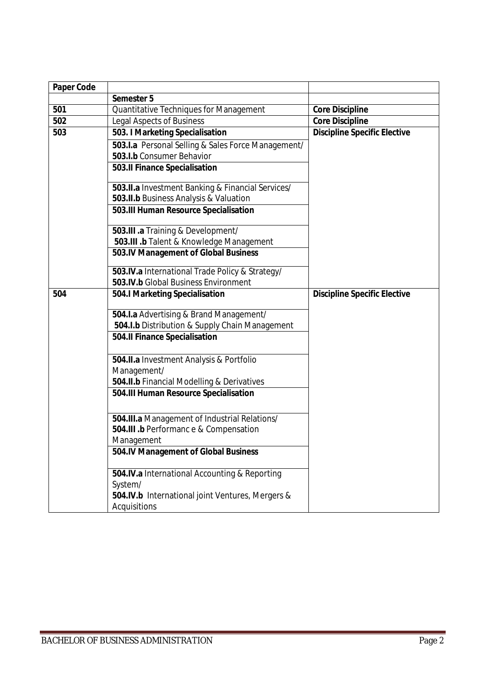| <b>Paper Code</b> |                                                                  |                                     |
|-------------------|------------------------------------------------------------------|-------------------------------------|
|                   | Semester 5                                                       |                                     |
| 501               | Quantitative Techniques for Management                           | <b>Core Discipline</b>              |
| 502               | <b>Legal Aspects of Business</b>                                 | <b>Core Discipline</b>              |
| 503               | 503. I Marketing Specialisation                                  | <b>Discipline Specific Elective</b> |
|                   | 503.I.a Personal Selling & Sales Force Management/               |                                     |
|                   | 503.I.b Consumer Behavior                                        |                                     |
|                   | 503.Il Finance Specialisation                                    |                                     |
|                   | 503.II.a Investment Banking & Financial Services/                |                                     |
|                   | 503.II.b Business Analysis & Valuation                           |                                     |
|                   | 503.III Human Resource Specialisation                            |                                     |
|                   | 503.III .a Training & Development/                               |                                     |
|                   | 503.III .b Talent & Knowledge Management                         |                                     |
|                   | 503.IV Management of Global Business                             |                                     |
|                   | 503.IV.a International Trade Policy & Strategy/                  |                                     |
|                   | 503.IV.b Global Business Environment                             |                                     |
| 504               | <b>504.I Marketing Specialisation</b>                            | <b>Discipline Specific Elective</b> |
|                   | 504.I.a Advertising & Brand Management/                          |                                     |
|                   | 504.I.b Distribution & Supply Chain Management                   |                                     |
|                   | 504.II Finance Specialisation                                    |                                     |
|                   | 504.II.a Investment Analysis & Portfolio                         |                                     |
|                   | Management/                                                      |                                     |
|                   | 504.II.b Financial Modelling & Derivatives                       |                                     |
|                   | 504.III Human Resource Specialisation                            |                                     |
|                   | 504.III.a Management of Industrial Relations/                    |                                     |
|                   | 504.III .b Performanc e & Compensation                           |                                     |
|                   | Management                                                       |                                     |
|                   | 504.IV Management of Global Business                             |                                     |
|                   | 504.IV.a International Accounting & Reporting                    |                                     |
|                   | System/                                                          |                                     |
|                   | 504.IV.b International joint Ventures, Mergers &<br>Acquisitions |                                     |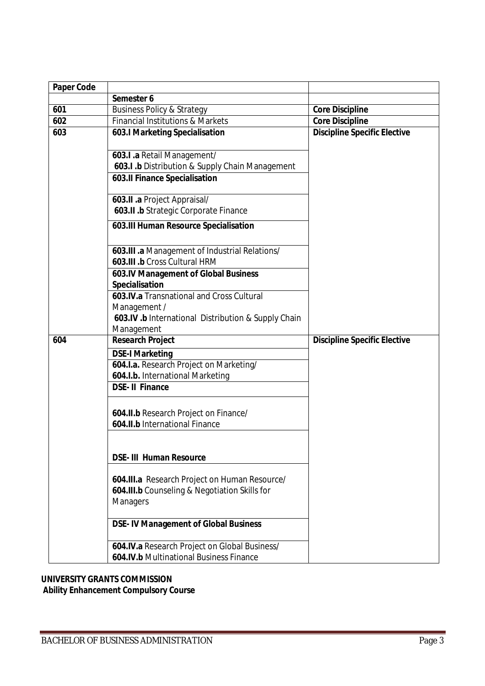| <b>Paper Code</b> |                                                                                          |                                     |
|-------------------|------------------------------------------------------------------------------------------|-------------------------------------|
|                   | Semester 6                                                                               |                                     |
| 601               | <b>Business Policy &amp; Strategy</b>                                                    | <b>Core Discipline</b>              |
| 602               | <b>Financial Institutions &amp; Markets</b>                                              | <b>Core Discipline</b>              |
| 603               | 603.I Marketing Specialisation                                                           | <b>Discipline Specific Elective</b> |
|                   | 603.I .a Retail Management/                                                              |                                     |
|                   | 603.I .b Distribution & Supply Chain Management                                          |                                     |
|                   | <b>603.II Finance Specialisation</b>                                                     |                                     |
|                   | 603.II .a Project Appraisal/                                                             |                                     |
|                   | 603.II .b Strategic Corporate Finance                                                    |                                     |
|                   | 603.III Human Resource Specialisation                                                    |                                     |
|                   | 603.III .a Management of Industrial Relations/<br>603.III .b Cross Cultural HRM          |                                     |
|                   | 603.IV Management of Global Business<br><b>Specialisation</b>                            |                                     |
|                   | 603.IV.a Transnational and Cross Cultural                                                |                                     |
|                   | Management /                                                                             |                                     |
|                   | 603.IV .b International Distribution & Supply Chain                                      |                                     |
|                   | Management                                                                               |                                     |
| 604               | <b>Research Project</b>                                                                  | <b>Discipline Specific Elective</b> |
|                   | <b>DSE-I Marketing</b>                                                                   |                                     |
|                   | 604.I.a. Research Project on Marketing/                                                  |                                     |
|                   | 604.I.b. International Marketing                                                         |                                     |
|                   | <b>DSE-II Finance</b>                                                                    |                                     |
|                   | 604.II.b Research Project on Finance/                                                    |                                     |
|                   | 604.II.b International Finance                                                           |                                     |
|                   | <b>DSE- III Human Resource</b>                                                           |                                     |
|                   | 604.III.a Research Project on Human Resource/                                            |                                     |
|                   | 604.III.b Counseling & Negotiation Skills for<br><b>Managers</b>                         |                                     |
|                   | <b>DSE-IV Management of Global Business</b>                                              |                                     |
|                   | 604.IV.a Research Project on Global Business/<br>604.IV.b Multinational Business Finance |                                     |

# **UNIVERSITY GRANTS COMMISSION**

**Ability Enhancement Compulsory Course**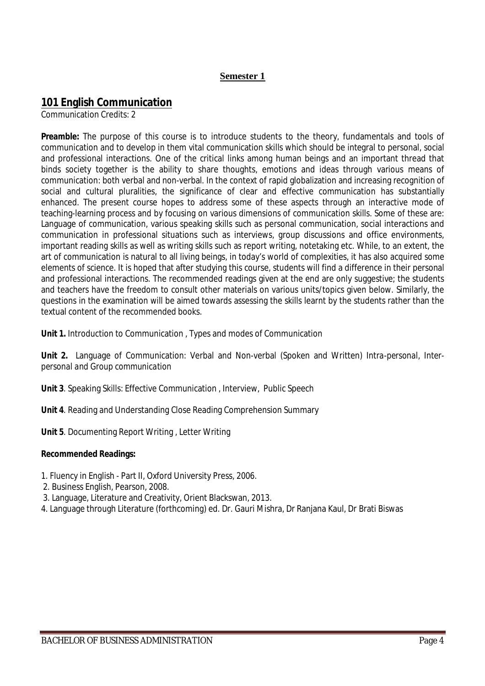# **Semester 1**

# **101 English Communication**

Communication Credits: 2

**Preamble:** The purpose of this course is to introduce students to the theory, fundamentals and tools of communication and to develop in them vital communication skills which should be integral to personal, social and professional interactions. One of the critical links among human beings and an important thread that binds society together is the ability to share thoughts, emotions and ideas through various means of communication: both verbal and non-verbal. In the context of rapid globalization and increasing recognition of social and cultural pluralities, the significance of clear and effective communication has substantially enhanced. The present course hopes to address some of these aspects through an interactive mode of teaching-learning process and by focusing on various dimensions of communication skills. Some of these are: Language of communication, various speaking skills such as personal communication, social interactions and communication in professional situations such as interviews, group discussions and office environments, important reading skills as well as writing skills such as report writing, notetaking etc. While, to an extent, the art of communication is natural to all living beings, in today's world of complexities, it has also acquired some elements of science. It is hoped that after studying this course, students will find a difference in their personal and professional interactions. The recommended readings given at the end are only suggestive; the students and teachers have the freedom to consult other materials on various units/topics given below. Similarly, the questions in the examination will be aimed towards assessing the skills learnt by the students rather than the textual content of the recommended books.

**Unit 1.** Introduction to Communication , Types and modes of Communication

**Unit 2.** Language of Communication: Verbal and Non-verbal (Spoken and Written) *Intra-personal, Interpersonal and Group communication* 

**Unit 3**. Speaking Skills: Effective Communication , Interview, Public Speech

**Unit 4**. Reading and Understanding Close Reading Comprehension Summary

**Unit 5**. Documenting Report Writing , Letter Writing

#### **Recommended Readings:**

- 1. Fluency in English Part II, Oxford University Press, 2006.
- 2. Business English, Pearson, 2008.
- 3. Language, Literature and Creativity, Orient Blackswan, 2013.
- 4. Language through Literature (forthcoming) ed. Dr. Gauri Mishra, Dr Ranjana Kaul, Dr Brati Biswas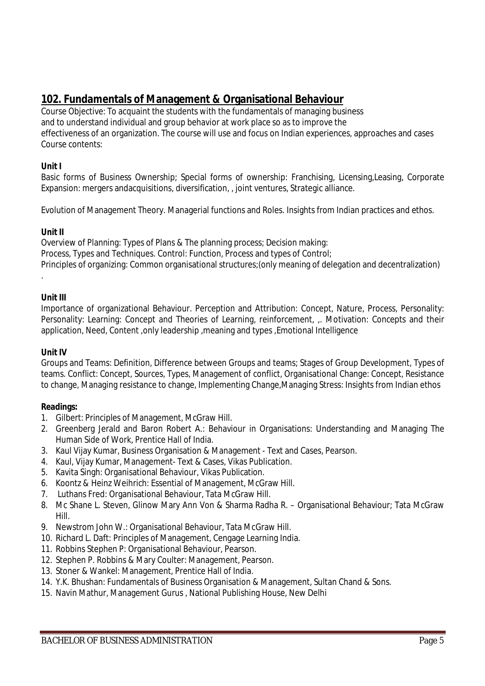# **102. Fundamentals of Management & Organisational Behaviour**

Course Objective: To acquaint the students with the fundamentals of managing business and to understand individual and group behavior at work place so as to improve the effectiveness of an organization. The course will use and focus on Indian experiences, approaches and cases Course contents:

# **Unit I**

Basic forms of Business Ownership; Special forms of ownership: Franchising, Licensing,Leasing, Corporate Expansion: mergers andacquisitions, diversification, , joint ventures, Strategic alliance.

Evolution of Management Theory. Managerial functions and Roles. Insights from Indian practices and ethos.

# **Unit II**

Overview of Planning: Types of Plans & The planning process; Decision making: Process, Types and Techniques. Control: Function, Process and types of Control; Principles of organizing: Common organisational structures;(only meaning of delegation and decentralization)

# **Unit III**

.

Importance of organizational Behaviour. Perception and Attribution: Concept, Nature, Process, Personality: Personality: Learning: Concept and Theories of Learning, reinforcement, ,. Motivation: Concepts and their application, Need, Content ,only leadership ,meaning and types ,Emotional Intelligence

# **Unit IV**

Groups and Teams: Definition, Difference between Groups and teams; Stages of Group Development, Types of teams. Conflict: Concept, Sources, Types, Management of conflict, Organisational Change: Concept, Resistance to change, Managing resistance to change, Implementing Change,Managing Stress: Insights from Indian ethos

- 1. Gilbert: Principles of Management, McGraw Hill.
- 2. Greenberg Jerald and Baron Robert A.: Behaviour in Organisations: Understanding and Managing The Human Side of Work, Prentice Hall of India.
- 3. Kaul Vijay Kumar, Business Organisation & Management Text and Cases, Pearson.
- 4. Kaul, Vijay Kumar, Management- Text & Cases, Vikas Publication.
- 5. Kavita Singh: Organisational Behaviour, Vikas Publication.
- 6. Koontz & Heinz Weihrich: Essential of Management, McGraw Hill.
- 7. Luthans Fred: Organisational Behaviour, Tata McGraw Hill.
- 8. Mc Shane L. Steven, Glinow Mary Ann Von & Sharma Radha R. Organisational Behaviour; Tata McGraw Hill.
- 9. Newstrom John W.: Organisational Behaviour, Tata McGraw Hill.
- 10. Richard L. Daft: Principles of Management, Cengage Learning India.
- 11. Robbins Stephen P: Organisational Behaviour, Pearson.
- 12. Stephen P. Robbins & Mary Coulter: Management, Pearson.
- 13. Stoner & Wankel: Management, Prentice Hall of India.
- 14. Y.K. Bhushan: Fundamentals of Business Organisation & Management, Sultan Chand & Sons.
- 15. Navin Mathur, Management Gurus , National Publishing House, New Delhi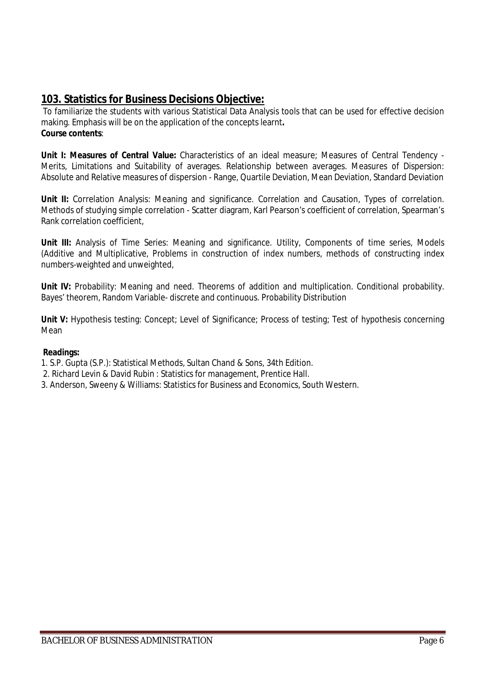# **103. Statistics for Business Decisions Objective:**

To familiarize the students with various Statistical Data Analysis tools that can be used for effective decision making. Emphasis will be on the application of the concepts learnt**. Course contents**:

**Unit I: Measures of Central Value:** Characteristics of an ideal measure; Measures of Central Tendency - Merits, Limitations and Suitability of averages. Relationship between averages. Measures of Dispersion: Absolute and Relative measures of dispersion - Range, Quartile Deviation, Mean Deviation, Standard Deviation

**Unit II:** Correlation Analysis: Meaning and significance. Correlation and Causation, Types of correlation. Methods of studying simple correlation - Scatter diagram, Karl Pearson's coefficient of correlation, Spearman's Rank correlation coefficient,

Unit III: Analysis of Time Series: Meaning and significance. Utility, Components of time series, Models (Additive and Multiplicative, Problems in construction of index numbers, methods of constructing index numbers-weighted and unweighted,

Unit IV: Probability: Meaning and need. Theorems of addition and multiplication. Conditional probability. Bayes' theorem, Random Variable- discrete and continuous. Probability Distribution

**Unit V:** Hypothesis testing: Concept; Level of Significance; Process of testing; Test of hypothesis concerning Mean

- 1. S.P. Gupta (S.P.): Statistical Methods, Sultan Chand & Sons, 34th Edition.
- 2. Richard Levin & David Rubin : Statistics for management, Prentice Hall.
- 3. Anderson, Sweeny & Williams: Statistics for Business and Economics, South Western.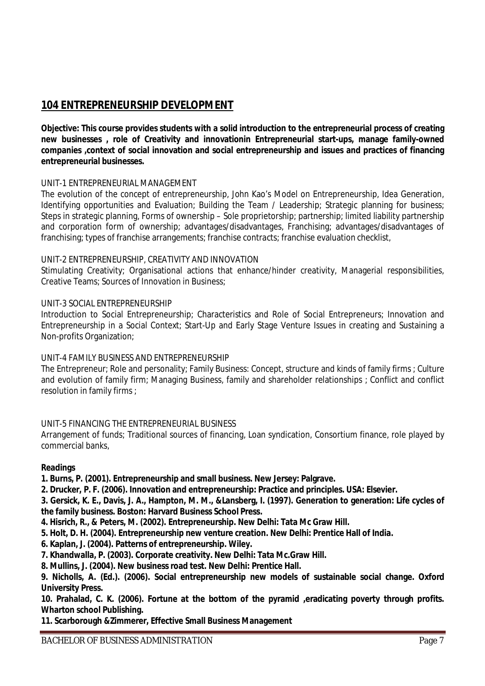# **104 ENTREPRENEURSHIP DEVELOPMENT**

**Objective: This course provides students with a solid introduction to the entrepreneurial process of creating new businesses , role of Creativity and innovationin Entrepreneurial start-ups, manage family-owned companies ,context of social innovation and social entrepreneurship and issues and practices of financing entrepreneurial businesses.**

# UNIT-1 ENTREPRENEURIAL MANAGEMENT

The evolution of the concept of entrepreneurship, John Kao's Model on Entrepreneurship, Idea Generation, Identifying opportunities and Evaluation; Building the Team / Leadership; Strategic planning for business; Steps in strategic planning, Forms of ownership – Sole proprietorship; partnership; limited liability partnership and corporation form of ownership; advantages/disadvantages, Franchising; advantages/disadvantages of franchising; types of franchise arrangements; franchise contracts; franchise evaluation checklist,

#### UNIT-2 ENTREPRENEURSHIP, CREATIVITY AND INNOVATION

Stimulating Creativity; Organisational actions that enhance/hinder creativity, Managerial responsibilities, Creative Teams; Sources of Innovation in Business;

### UNIT-3 SOCIAL ENTREPRENEURSHIP

Introduction to Social Entrepreneurship; Characteristics and Role of Social Entrepreneurs; Innovation and Entrepreneurship in a Social Context; Start-Up and Early Stage Venture Issues in creating and Sustaining a Non-profits Organization;

#### UNIT-4 FAMILY BUSINESS AND ENTREPRENEURSHIP

The Entrepreneur; Role and personality; Family Business: Concept, structure and kinds of family firms ; Culture and evolution of family firm; Managing Business, family and shareholder relationships ; Conflict and conflict resolution in family firms ;

#### UNIT-5 FINANCING THE ENTREPRENEURIAL BUSINESS

Arrangement of funds; Traditional sources of financing, Loan syndication, Consortium finance, role played by commercial banks,

#### **Readings**

- **1. Burns, P. (2001). Entrepreneurship and small business. New Jersey: Palgrave.**
- **2. Drucker, P. F. (2006). Innovation and entrepreneurship: Practice and principles. USA: Elsevier.**
- **3. Gersick, K. E., Davis, J. A., Hampton, M. M., &Lansberg, I. (1997). Generation to generation: Life cycles of the family business. Boston: Harvard Business School Press.**
- **4. Hisrich, R., & Peters, M. (2002). Entrepreneurship. New Delhi: Tata Mc Graw Hill.**
- **5. Holt, D. H. (2004). Entrepreneurship new venture creation. New Delhi: Prentice Hall of India.**
- **6. Kaplan, J. (2004). Patterns of entrepreneurship. Wiley.**
- **7. Khandwalla, P. (2003). Corporate creativity. New Delhi: Tata Mc.Graw Hill.**
- **8. Mullins, J. (2004). New business road test. New Delhi: Prentice Hall.**
- **9. Nicholls, A. (Ed.). (2006). Social entrepreneurship new models of sustainable social change. Oxford University Press.**

**10. Prahalad, C. K. (2006). Fortune at the bottom of the pyramid ,eradicating poverty through profits. Wharton school Publishing.**

**11. Scarborough &Zimmerer, Effective Small Business Management**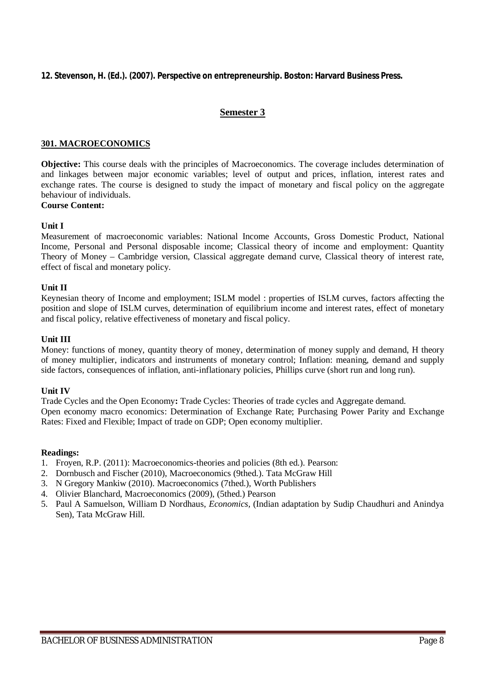#### **12. Stevenson, H. (Ed.). (2007). Perspective on entrepreneurship. Boston: Harvard Business Press.**

#### **Semester 3**

#### **301. MACROECONOMICS**

**Objective:** This course deals with the principles of Macroeconomics. The coverage includes determination of and linkages between major economic variables; level of output and prices, inflation, interest rates and exchange rates. The course is designed to study the impact of monetary and fiscal policy on the aggregate behaviour of individuals.

# **Course Content:**

#### **Unit I**

Measurement of macroeconomic variables: National Income Accounts, Gross Domestic Product, National Income, Personal and Personal disposable income; Classical theory of income and employment: Quantity Theory of Money – Cambridge version, Classical aggregate demand curve, Classical theory of interest rate, effect of fiscal and monetary policy.

#### **Unit II**

Keynesian theory of Income and employment; ISLM model : properties of ISLM curves, factors affecting the position and slope of ISLM curves, determination of equilibrium income and interest rates, effect of monetary and fiscal policy, relative effectiveness of monetary and fiscal policy.

#### **Unit III**

Money: functions of money, quantity theory of money, determination of money supply and demand, H theory of money multiplier, indicators and instruments of monetary control; Inflation: meaning, demand and supply side factors, consequences of inflation, anti-inflationary policies, Phillips curve (short run and long run).

#### **Unit IV**

Trade Cycles and the Open Economy**:** Trade Cycles: Theories of trade cycles and Aggregate demand. Open economy macro economics: Determination of Exchange Rate; Purchasing Power Parity and Exchange Rates: Fixed and Flexible; Impact of trade on GDP; Open economy multiplier.

- 1. Froyen, R.P. (2011): Macroeconomics-theories and policies (8th ed.). Pearson:
- 2. Dornbusch and Fischer (2010), Macroeconomics (9thed.). Tata McGraw Hill
- 3. N Gregory Mankiw (2010). Macroeconomics (7thed.), Worth Publishers
- 4. Olivier Blanchard, Macroeconomics (2009), (5thed.) Pearson
- 5. Paul A Samuelson, William D Nordhaus, *Economics,* (Indian adaptation by Sudip Chaudhuri and Anindya Sen), Tata McGraw Hill.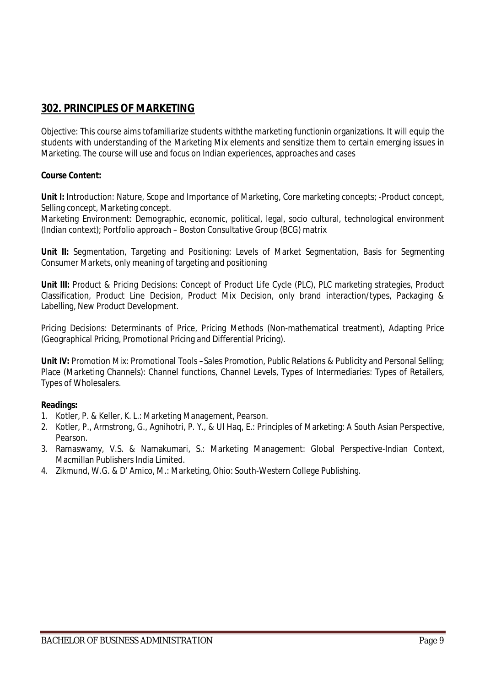# **302. PRINCIPLES OF MARKETING**

Objective: This course aims tofamiliarize students withthe marketing functionin organizations. It will equip the students with understanding of the Marketing Mix elements and sensitize them to certain emerging issues in Marketing. The course will use and focus on Indian experiences, approaches and cases

# **Course Content:**

**Unit I:** Introduction: Nature, Scope and Importance of Marketing, Core marketing concepts; -Product concept, Selling concept, Marketing concept.

Marketing Environment: Demographic, economic, political, legal, socio cultural, technological environment (Indian context); Portfolio approach – Boston Consultative Group (BCG) matrix

**Unit II:** Segmentation, Targeting and Positioning: Levels of Market Segmentation, Basis for Segmenting Consumer Markets, only meaning of targeting and positioning

**Unit III:** Product & Pricing Decisions: Concept of Product Life Cycle (PLC), PLC marketing strategies, Product Classification, Product Line Decision, Product Mix Decision, only brand interaction/types, Packaging & Labelling, New Product Development.

Pricing Decisions: Determinants of Price, Pricing Methods (Non-mathematical treatment), Adapting Price (Geographical Pricing, Promotional Pricing and Differential Pricing).

**Unit IV:** Promotion Mix: Promotional Tools –Sales Promotion, Public Relations & Publicity and Personal Selling; Place (Marketing Channels): Channel functions, Channel Levels, Types of Intermediaries: Types of Retailers, Types of Wholesalers.

- 1. Kotler, P. & Keller, K. L.: Marketing Management, Pearson.
- 2. Kotler, P., Armstrong, G., Agnihotri, P. Y., & Ul Haq, E.: Principles of Marketing: A South Asian Perspective, Pearson.
- 3. Ramaswamy, V.S. & Namakumari, S.: Marketing Management: Global Perspective-Indian Context, Macmillan Publishers India Limited.
- 4. Zikmund, W.G. & D' Amico, M.: Marketing, Ohio: South-Western College Publishing.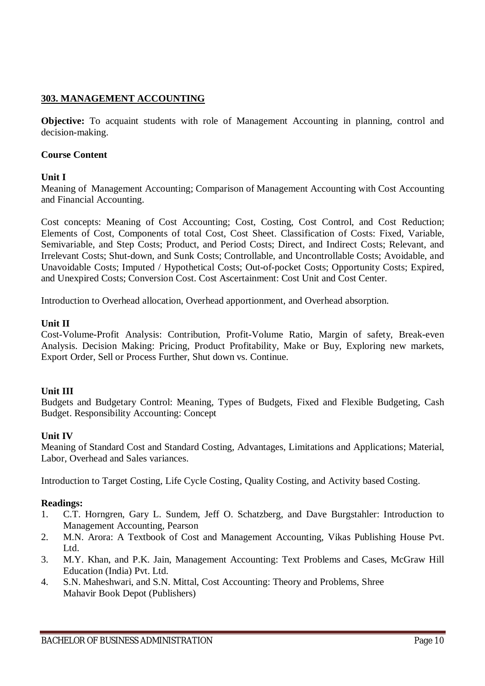# **303. MANAGEMENT ACCOUNTING**

**Objective:** To acquaint students with role of Management Accounting in planning, control and decision-making.

# **Course Content**

# **Unit I**

Meaning of Management Accounting; Comparison of Management Accounting with Cost Accounting and Financial Accounting.

Cost concepts: Meaning of Cost Accounting; Cost, Costing, Cost Control, and Cost Reduction; Elements of Cost, Components of total Cost, Cost Sheet. Classification of Costs: Fixed, Variable, Semivariable, and Step Costs; Product, and Period Costs; Direct, and Indirect Costs; Relevant, and Irrelevant Costs; Shut-down, and Sunk Costs; Controllable, and Uncontrollable Costs; Avoidable, and Unavoidable Costs; Imputed / Hypothetical Costs; Out-of-pocket Costs; Opportunity Costs; Expired, and Unexpired Costs; Conversion Cost. Cost Ascertainment: Cost Unit and Cost Center.

Introduction to Overhead allocation, Overhead apportionment, and Overhead absorption.

# **Unit II**

Cost-Volume-Profit Analysis: Contribution, Profit-Volume Ratio, Margin of safety, Break-even Analysis. Decision Making: Pricing, Product Profitability, Make or Buy, Exploring new markets, Export Order, Sell or Process Further, Shut down vs. Continue.

# **Unit III**

Budgets and Budgetary Control: Meaning, Types of Budgets, Fixed and Flexible Budgeting, Cash Budget. Responsibility Accounting: Concept

# **Unit IV**

Meaning of Standard Cost and Standard Costing, Advantages, Limitations and Applications; Material, Labor, Overhead and Sales variances.

Introduction to Target Costing, Life Cycle Costing, Quality Costing, and Activity based Costing.

- 1. C.T. Horngren, Gary L. Sundem, Jeff O. Schatzberg, and Dave Burgstahler: Introduction to Management Accounting, Pearson
- 2. M.N. Arora: A Textbook of Cost and Management Accounting, Vikas Publishing House Pvt. Ltd.
- 3. M.Y. Khan, and P.K. Jain, Management Accounting: Text Problems and Cases, McGraw Hill Education (India) Pvt. Ltd.
- 4. S.N. Maheshwari, and S.N. Mittal, Cost Accounting: Theory and Problems, Shree Mahavir Book Depot (Publishers)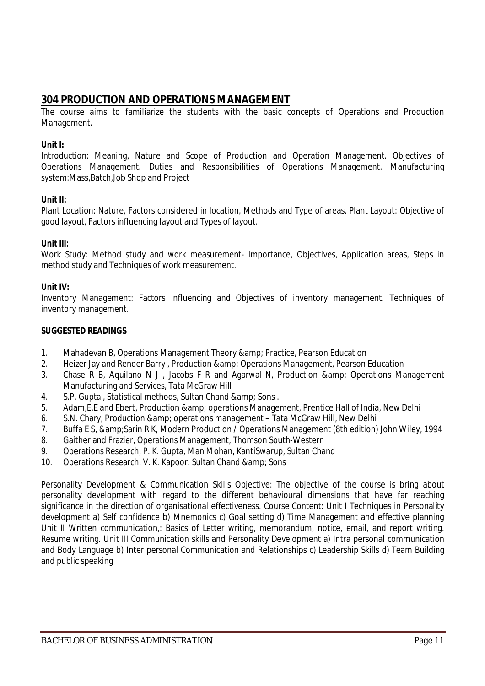# **304 PRODUCTION AND OPERATIONS MANAGEMENT**

The course aims to familiarize the students with the basic concepts of Operations and Production Management.

### **Unit I:**

Introduction: Meaning, Nature and Scope of Production and Operation Management. Objectives of Operations Management. Duties and Responsibilities of Operations Management. Manufacturing system:Mass,Batch,Job Shop and Project

### **Unit II:**

Plant Location: Nature, Factors considered in location, Methods and Type of areas. Plant Layout: Objective of good layout, Factors influencing layout and Types of layout.

### **Unit III:**

Work Study: Method study and work measurement- Importance, Objectives, Application areas, Steps in method study and Techniques of work measurement.

### **Unit IV:**

Inventory Management: Factors influencing and Objectives of inventory management. Techniques of inventory management.

### **SUGGESTED READINGS**

- 1. Mahadevan B, Operations Management Theory & amp; Practice, Pearson Education
- 2. Heizer Jay and Render Barry, Production & amp; Operations Management, Pearson Education
- 3. Chase R B, Aquilano N J, Jacobs F R and Agarwal N, Production & amp; Operations Management Manufacturing and Services, Tata McGraw Hill
- 4. S.P. Gupta, Statistical methods, Sultan Chand & amp; Sons.
- 5. Adam,E.E and Ebert, Production & operations Management, Prentice Hall of India, New Delhi
- 6. S.N. Chary, Production & amp; operations management Tata McGraw Hill, New Delhi
- 7. Buffa E S, & Sarin R K, Modern Production / Operations Management (8th edition) John Wiley, 1994
- 8. Gaither and Frazier, Operations Management, Thomson South-Western
- 9. Operations Research, P. K. Gupta, Man Mohan, KantiSwarup, Sultan Chand
- 10. Operations Research, V. K. Kapoor. Sultan Chand & amp; Sons

Personality Development & Communication Skills Objective: The objective of the course is bring about personality development with regard to the different behavioural dimensions that have far reaching significance in the direction of organisational effectiveness. Course Content: Unit I Techniques in Personality development a) Self confidence b) Mnemonics c) Goal setting d) Time Management and effective planning Unit II Written communication,: Basics of Letter writing, memorandum, notice, email, and report writing. Resume writing. Unit III Communication skills and Personality Development a) Intra personal communication and Body Language b) Inter personal Communication and Relationships c) Leadership Skills d) Team Building and public speaking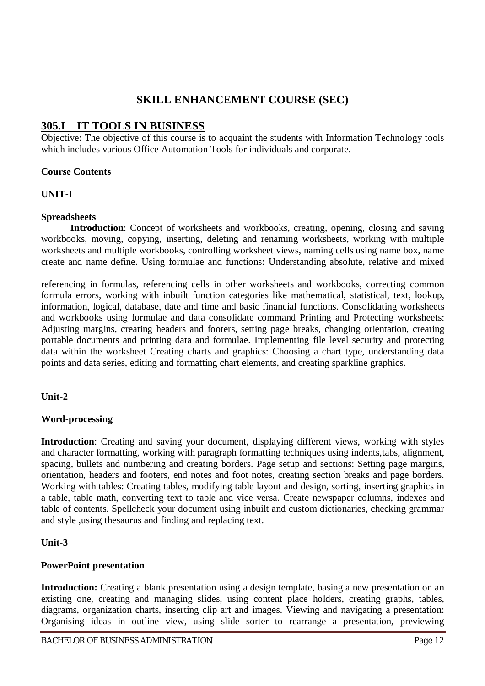# **SKILL ENHANCEMENT COURSE (SEC)**

# **305.I IT TOOLS IN BUSINESS**

Objective: The objective of this course is to acquaint the students with Information Technology tools which includes various Office Automation Tools for individuals and corporate.

### **Course Contents**

# **UNIT-I**

### **Spreadsheets**

**Introduction**: Concept of worksheets and workbooks, creating, opening, closing and saving workbooks, moving, copying, inserting, deleting and renaming worksheets, working with multiple worksheets and multiple workbooks, controlling worksheet views, naming cells using name box, name create and name define. Using formulae and functions: Understanding absolute, relative and mixed

referencing in formulas, referencing cells in other worksheets and workbooks, correcting common formula errors, working with inbuilt function categories like mathematical, statistical, text, lookup, information, logical, database, date and time and basic financial functions. Consolidating worksheets and workbooks using formulae and data consolidate command Printing and Protecting worksheets: Adjusting margins, creating headers and footers, setting page breaks, changing orientation, creating portable documents and printing data and formulae. Implementing file level security and protecting data within the worksheet Creating charts and graphics: Choosing a chart type, understanding data points and data series, editing and formatting chart elements, and creating sparkline graphics.

# **Unit-2**

# **Word-processing**

**Introduction**: Creating and saving your document, displaying different views, working with styles and character formatting, working with paragraph formatting techniques using indents,tabs, alignment, spacing, bullets and numbering and creating borders. Page setup and sections: Setting page margins, orientation, headers and footers, end notes and foot notes, creating section breaks and page borders. Working with tables: Creating tables, modifying table layout and design, sorting, inserting graphics in a table, table math, converting text to table and vice versa. Create newspaper columns, indexes and table of contents. Spellcheck your document using inbuilt and custom dictionaries, checking grammar and style ,using thesaurus and finding and replacing text.

# **Unit-3**

# **PowerPoint presentation**

**Introduction:** Creating a blank presentation using a design template, basing a new presentation on an existing one, creating and managing slides, using content place holders, creating graphs, tables, diagrams, organization charts, inserting clip art and images. Viewing and navigating a presentation: Organising ideas in outline view, using slide sorter to rearrange a presentation, previewing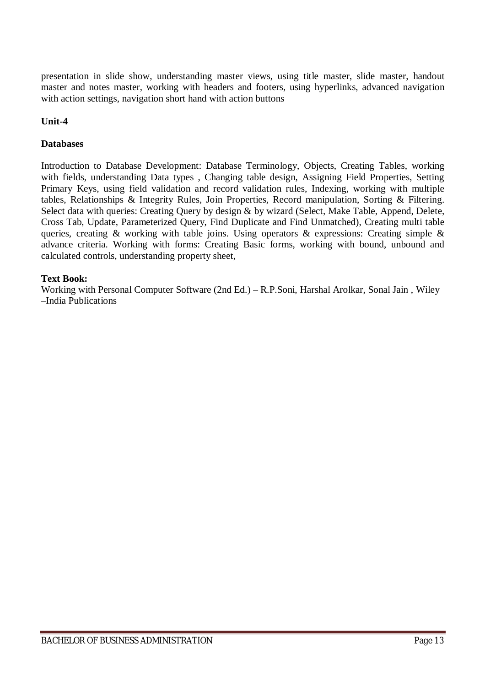presentation in slide show, understanding master views, using title master, slide master, handout master and notes master, working with headers and footers, using hyperlinks, advanced navigation with action settings, navigation short hand with action buttons

# **Unit-4**

### **Databases**

Introduction to Database Development: Database Terminology, Objects, Creating Tables, working with fields, understanding Data types , Changing table design, Assigning Field Properties, Setting Primary Keys, using field validation and record validation rules, Indexing, working with multiple tables, Relationships & Integrity Rules, Join Properties, Record manipulation, Sorting & Filtering. Select data with queries: Creating Query by design & by wizard (Select, Make Table, Append, Delete, Cross Tab, Update, Parameterized Query, Find Duplicate and Find Unmatched), Creating multi table queries, creating & working with table joins. Using operators & expressions: Creating simple & advance criteria. Working with forms: Creating Basic forms, working with bound, unbound and calculated controls, understanding property sheet,

### **Text Book:**

Working with Personal Computer Software (2nd Ed.) – R.P.Soni, Harshal Arolkar, Sonal Jain , Wiley –India Publications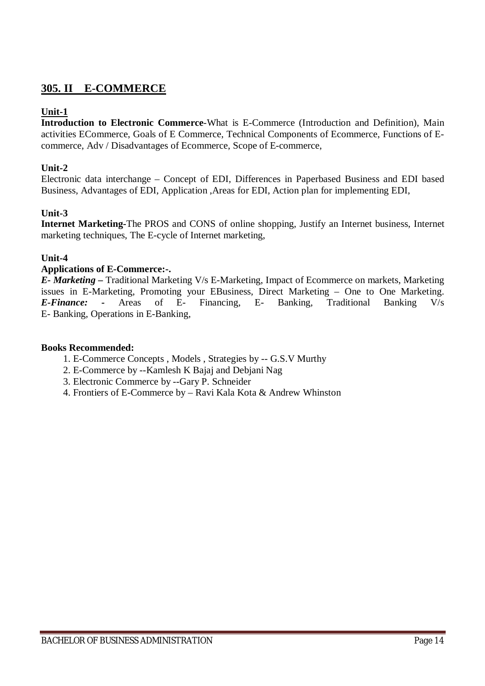# **305. II E-COMMERCE**

# **Unit-1**

**Introduction to Electronic Commerce**-What is E-Commerce (Introduction and Definition), Main activities ECommerce, Goals of E Commerce, Technical Components of Ecommerce, Functions of Ecommerce, Adv / Disadvantages of Ecommerce, Scope of E-commerce,

# **Unit-2**

Electronic data interchange – Concept of EDI, Differences in Paperbased Business and EDI based Business, Advantages of EDI, Application ,Areas for EDI, Action plan for implementing EDI,

# **Unit-3**

**Internet Marketing-**The PROS and CONS of online shopping, Justify an Internet business, Internet marketing techniques, The E-cycle of Internet marketing,

# **Unit-4**

### **Applications of E-Commerce:-.**

*E- Marketing –* Traditional Marketing V/s E-Marketing, Impact of Ecommerce on markets, Marketing issues in E-Marketing, Promoting your EBusiness, Direct Marketing – One to One Marketing. *E-Finance: -* Areas of E- Financing, E- Banking, Traditional Banking V/s E- Banking, Operations in E-Banking,

#### **Books Recommended:**

- 1. E-Commerce Concepts , Models , Strategies by -- G.S.V Murthy
- 2. E-Commerce by --Kamlesh K Bajaj and Debjani Nag
- 3. Electronic Commerce by --Gary P. Schneider
- 4. Frontiers of E-Commerce by Ravi Kala Kota & Andrew Whinston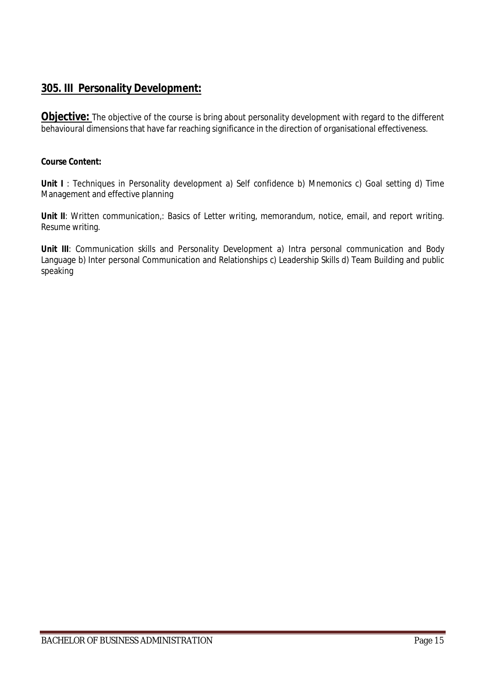# **305. III Personality Development:**

**Objective:** The objective of the course is bring about personality development with regard to the different behavioural dimensions that have far reaching significance in the direction of organisational effectiveness.

### **Course Content:**

**Unit I**: Techniques in Personality development a) Self confidence b) Mnemonics c) Goal setting d) Time Management and effective planning

Unit II: Written communication,: Basics of Letter writing, memorandum, notice, email, and report writing. Resume writing.

Unit III: Communication skills and Personality Development a) Intra personal communication and Body Language b) Inter personal Communication and Relationships c) Leadership Skills d) Team Building and public speaking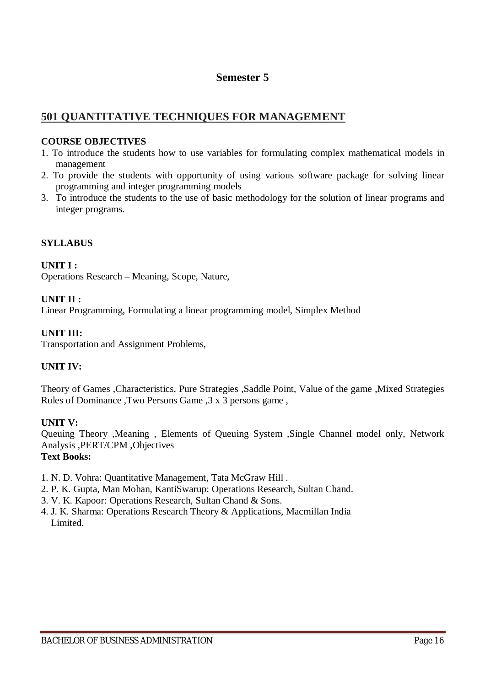# **Semester 5**

# **501 QUANTITATIVE TECHNIQUES FOR MANAGEMENT**

# **COURSE OBJECTIVES**

- 1. To introduce the students how to use variables for formulating complex mathematical models in management
- 2. To provide the students with opportunity of using various software package for solving linear programming and integer programming models
- 3. To introduce the students to the use of basic methodology for the solution of linear programs and integer programs.

# **SYLLABUS**

**UNIT I :** Operations Research – Meaning, Scope, Nature,

# **UNIT II :**

Linear Programming, Formulating a linear programming model, Simplex Method

### **UNIT III:**

Transportation and Assignment Problems,

# **UNIT IV:**

Theory of Games ,Characteristics, Pure Strategies ,Saddle Point, Value of the game ,Mixed Strategies Rules of Dominance ,Two Persons Game ,3 x 3 persons game ,

# **UNIT V:**

Queuing Theory ,Meaning , Elements of Queuing System ,Single Channel model only, Network Analysis ,PERT/CPM ,Objectives **Text Books:**

- 1. N. D. Vohra: Quantitative Management, Tata McGraw Hill .
- 2. P. K. Gupta, Man Mohan, KantiSwarup: Operations Research, Sultan Chand.
- 3. V. K. Kapoor: Operations Research, Sultan Chand & Sons.
- 4. J. K. Sharma: Operations Research Theory & Applications, Macmillan India Limited.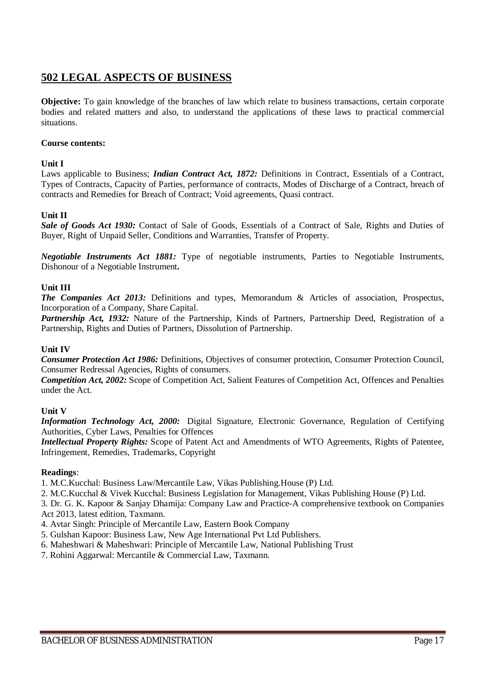# **502 LEGAL ASPECTS OF BUSINESS**

**Objective:** To gain knowledge of the branches of law which relate to business transactions, certain corporate bodies and related matters and also, to understand the applications of these laws to practical commercial situations.

#### **Course contents:**

#### **Unit I**

Laws applicable to Business; *Indian Contract Act, 1872:* Definitions in Contract, Essentials of a Contract, Types of Contracts, Capacity of Parties, performance of contracts, Modes of Discharge of a Contract, breach of contracts and Remedies for Breach of Contract; Void agreements, Quasi contract.

#### **Unit II**

*Sale of Goods Act 1930:* Contact of Sale of Goods, Essentials of a Contract of Sale, Rights and Duties of Buyer, Right of Unpaid Seller, Conditions and Warranties, Transfer of Property.

*Negotiable Instruments Act 1881:* Type of negotiable instruments, Parties to Negotiable Instruments, Dishonour of a Negotiable Instrument**.**

#### **Unit III**

*The Companies Act 2013:* Definitions and types, Memorandum & Articles of association, Prospectus, Incorporation of a Company, Share Capital.

*Partnership Act, 1932:* Nature of the Partnership, Kinds of Partners, Partnership Deed, Registration of a Partnership, Rights and Duties of Partners, Dissolution of Partnership.

#### **Unit IV**

*Consumer Protection Act 1986:* Definitions, Objectives of consumer protection, Consumer Protection Council, Consumer Redressal Agencies, Rights of consumers.

*Competition Act, 2002:* Scope of Competition Act, Salient Features of Competition Act, Offences and Penalties under the Act.

#### **Unit V**

*Information Technology Act, 2000:* Digital Signature, Electronic Governance, Regulation of Certifying Authorities, Cyber Laws, Penalties for Offences

*Intellectual Property Rights:* Scope of Patent Act and Amendments of WTO Agreements, Rights of Patentee, Infringement, Remedies, Trademarks, Copyright

#### **Readings**:

1. M.C.Kucchal: Business Law/Mercantile Law, Vikas Publishing.House (P) Ltd.

2. M.C.Kucchal & Vivek Kucchal: Business Legislation for Management, Vikas Publishing House (P) Ltd.

3. Dr. G. K. Kapoor & Sanjay Dhamija: Company Law and Practice-A comprehensive textbook on Companies Act 2013, latest edition, Taxmann.

- 4. Avtar Singh: Principle of Mercantile Law, Eastern Book Company
- 5. Gulshan Kapoor: Business Law, New Age International Pvt Ltd Publishers.
- 6. Maheshwari & Maheshwari: Principle of Mercantile Law, National Publishing Trust
- 7. Rohini Aggarwal: Mercantile & Commercial Law, Taxmann.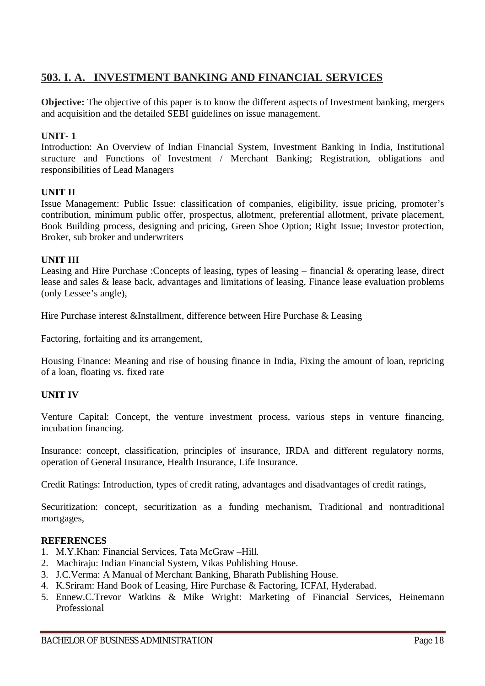# **503. I. A. INVESTMENT BANKING AND FINANCIAL SERVICES**

**Objective:** The objective of this paper is to know the different aspects of Investment banking, mergers and acquisition and the detailed SEBI guidelines on issue management.

# **UNIT- 1**

Introduction: An Overview of Indian Financial System, Investment Banking in India, Institutional structure and Functions of Investment / Merchant Banking; Registration, obligations and responsibilities of Lead Managers

# **UNIT II**

Issue Management: Public Issue: classification of companies, eligibility, issue pricing, promoter's contribution, minimum public offer, prospectus, allotment, preferential allotment, private placement, Book Building process, designing and pricing, Green Shoe Option; Right Issue; Investor protection, Broker, sub broker and underwriters

# **UNIT III**

Leasing and Hire Purchase :Concepts of leasing, types of leasing – financial & operating lease, direct lease and sales & lease back, advantages and limitations of leasing, Finance lease evaluation problems (only Lessee's angle),

Hire Purchase interest &Installment, difference between Hire Purchase & Leasing

Factoring, forfaiting and its arrangement,

Housing Finance: Meaning and rise of housing finance in India, Fixing the amount of loan, repricing of a loan, floating vs. fixed rate

# **UNIT IV**

Venture Capital: Concept, the venture investment process, various steps in venture financing, incubation financing.

Insurance: concept, classification, principles of insurance, IRDA and different regulatory norms, operation of General Insurance, Health Insurance, Life Insurance.

Credit Ratings: Introduction, types of credit rating, advantages and disadvantages of credit ratings,

Securitization: concept, securitization as a funding mechanism, Traditional and nontraditional mortgages,

### **REFERENCES**

- 1. M.Y.Khan: Financial Services, Tata McGraw –Hill.
- 2. Machiraju: Indian Financial System, Vikas Publishing House.
- 3. J.C.Verma: A Manual of Merchant Banking, Bharath Publishing House.
- 4. K.Sriram: Hand Book of Leasing, Hire Purchase & Factoring, ICFAI, Hyderabad.
- 5. Ennew.C.Trevor Watkins & Mike Wright: Marketing of Financial Services, Heinemann Professional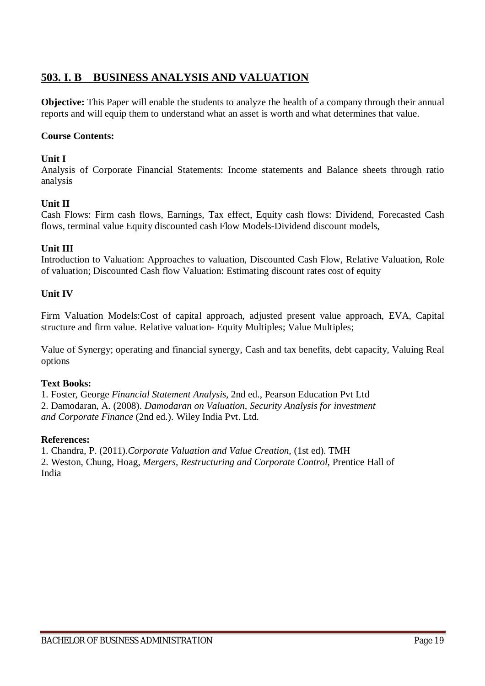# **503. I. B BUSINESS ANALYSIS AND VALUATION**

**Objective:** This Paper will enable the students to analyze the health of a company through their annual reports and will equip them to understand what an asset is worth and what determines that value.

# **Course Contents:**

### **Unit I**

Analysis of Corporate Financial Statements: Income statements and Balance sheets through ratio analysis

### **Unit II**

Cash Flows: Firm cash flows, Earnings, Tax effect, Equity cash flows: Dividend, Forecasted Cash flows, terminal value Equity discounted cash Flow Models-Dividend discount models,

# **Unit III**

Introduction to Valuation: Approaches to valuation, Discounted Cash Flow, Relative Valuation, Role of valuation; Discounted Cash flow Valuation: Estimating discount rates cost of equity

# **Unit IV**

Firm Valuation Models:Cost of capital approach, adjusted present value approach, EVA, Capital structure and firm value. Relative valuation- Equity Multiples; Value Multiples;

Value of Synergy; operating and financial synergy, Cash and tax benefits, debt capacity, Valuing Real options

#### **Text Books:**

1. Foster, George *Financial Statement Analysis,* 2nd ed., Pearson Education Pvt Ltd 2. Damodaran, A. (2008). *Damodaran on Valuation, Security Analysis for investment and Corporate Finance* (2nd ed.). Wiley India Pvt. Ltd.

#### **References:**

1. Chandra, P. (2011).*Corporate Valuation and Value Creation*, (1st ed). TMH 2. Weston, Chung, Hoag, *Mergers, Restructuring and Corporate Control*, Prentice Hall of India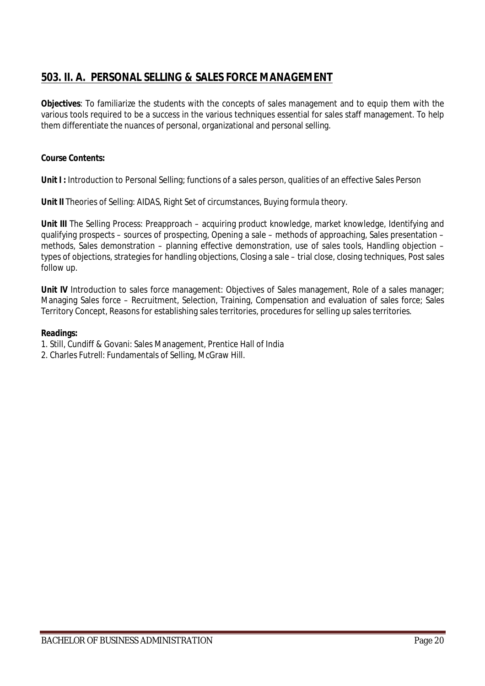# **503. II. A. PERSONAL SELLING & SALES FORCE MANAGEMENT**

**Objectives**: To familiarize the students with the concepts of sales management and to equip them with the various tools required to be a success in the various techniques essential for sales staff management. To help them differentiate the nuances of personal, organizational and personal selling.

# **Course Contents:**

**Unit I :** Introduction to Personal Selling; functions of a sales person, qualities of an effective Sales Person

**Unit II** Theories of Selling: AIDAS, Right Set of circumstances, Buying formula theory.

**Unit III** The Selling Process: Preapproach – acquiring product knowledge, market knowledge, Identifying and qualifying prospects – sources of prospecting, Opening a sale – methods of approaching, Sales presentation – methods, Sales demonstration – planning effective demonstration, use of sales tools, Handling objection – types of objections, strategies for handling objections, Closing a sale – trial close, closing techniques, Post sales follow up.

**Unit IV** Introduction to sales force management: Objectives of Sales management, Role of a sales manager; Managing Sales force – Recruitment, Selection, Training, Compensation and evaluation of sales force; Sales Territory Concept, Reasons for establishing sales territories, procedures for selling up sales territories.

- 1. Still, Cundiff & Govani: Sales Management, Prentice Hall of India
- 2. Charles Futrell: Fundamentals of Selling, McGraw Hill.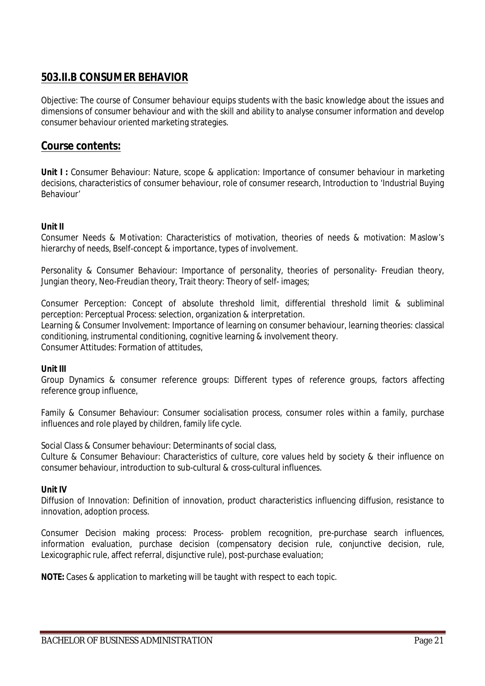# **503.II.B CONSUMER BEHAVIOR**

Objective: The course of Consumer behaviour equips students with the basic knowledge about the issues and dimensions of consumer behaviour and with the skill and ability to analyse consumer information and develop consumer behaviour oriented marketing strategies.

# **Course contents:**

**Unit I:** Consumer Behaviour: Nature, scope & application: Importance of consumer behaviour in marketing decisions, characteristics of consumer behaviour, role of consumer research, Introduction to 'Industrial Buying Behaviour'

#### **Unit II**

Consumer Needs & Motivation: Characteristics of motivation, theories of needs & motivation: Maslow's hierarchy of needs, Bself-concept & importance, types of involvement.

Personality & Consumer Behaviour: Importance of personality, theories of personality- Freudian theory, Jungian theory, Neo-Freudian theory, Trait theory: Theory of self- images;

Consumer Perception: Concept of absolute threshold limit, differential threshold limit & subliminal perception: Perceptual Process: selection, organization & interpretation. Learning & Consumer Involvement: Importance of learning on consumer behaviour, learning theories: classical conditioning, instrumental conditioning, cognitive learning & involvement theory. Consumer Attitudes: Formation of attitudes,

#### **Unit III**

Group Dynamics & consumer reference groups: Different types of reference groups, factors affecting reference group influence,

Family & Consumer Behaviour: Consumer socialisation process, consumer roles within a family, purchase influences and role played by children, family life cycle.

Social Class & Consumer behaviour: Determinants of social class,

Culture & Consumer Behaviour: Characteristics of culture, core values held by society & their influence on consumer behaviour, introduction to sub-cultural & cross-cultural influences.

#### **Unit IV**

Diffusion of Innovation: Definition of innovation, product characteristics influencing diffusion, resistance to innovation, adoption process.

Consumer Decision making process: Process- problem recognition, pre-purchase search influences, information evaluation, purchase decision (compensatory decision rule, conjunctive decision, rule, Lexicographic rule, affect referral, disjunctive rule), post-purchase evaluation;

**NOTE:** Cases & application to marketing will be taught with respect to each topic.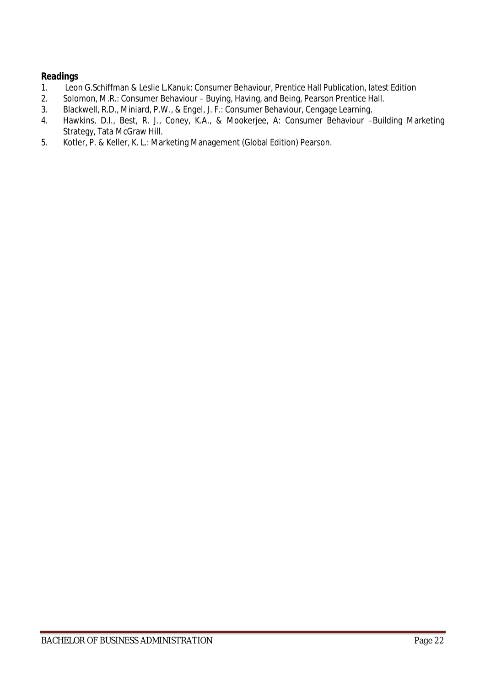- 1. Leon G.Schiffman & Leslie L.Kanuk: Consumer Behaviour, Prentice Hall Publication, latest Edition
- 2. Solomon, M.R.: Consumer Behaviour Buying, Having, and Being, Pearson Prentice Hall.<br>3. Blackwell, R.D., Miniard, P.W., & Fngel, J. F.: Consumer Behaviour, Cengage Learning.
- 3. Blackwell, R.D., Miniard, P.W., & Engel, J. F.: Consumer Behaviour, Cengage Learning.<br>4. Hawkins, D.I., Best, R. J., Conev, K.A., & Mookeriee, A: Consumer Behaviour -
- 4. Hawkins, D.I., Best, R. J., Coney, K.A., & Mookerjee, A: Consumer Behaviour –Building Marketing Strategy, Tata McGraw Hill.
- 5. Kotler, P. & Keller, K. L.: Marketing Management (Global Edition) Pearson.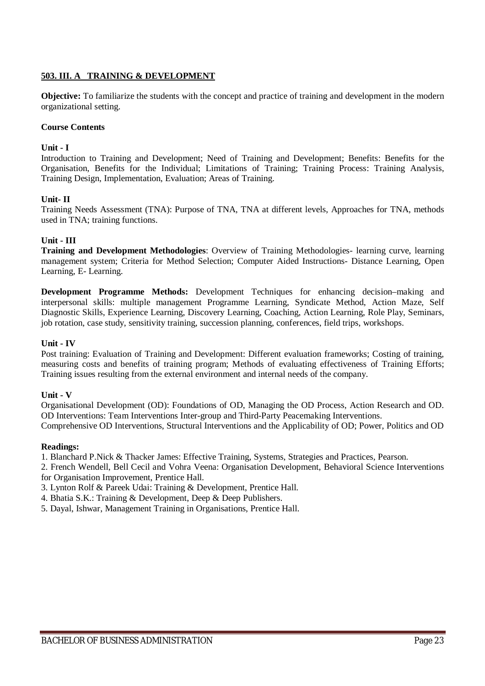### **503. III. A TRAINING & DEVELOPMENT**

**Objective:** To familiarize the students with the concept and practice of training and development in the modern organizational setting.

#### **Course Contents**

#### **Unit - I**

Introduction to Training and Development; Need of Training and Development; Benefits: Benefits for the Organisation, Benefits for the Individual; Limitations of Training; Training Process: Training Analysis, Training Design, Implementation, Evaluation; Areas of Training.

#### **Unit- II**

Training Needs Assessment (TNA): Purpose of TNA, TNA at different levels, Approaches for TNA, methods used in TNA; training functions.

#### **Unit - III**

**Training and Development Methodologies**: Overview of Training Methodologies- learning curve, learning management system; Criteria for Method Selection; Computer Aided Instructions- Distance Learning, Open Learning, E- Learning.

**Development Programme Methods:** Development Techniques for enhancing decision–making and interpersonal skills: multiple management Programme Learning, Syndicate Method, Action Maze, Self Diagnostic Skills, Experience Learning, Discovery Learning, Coaching, Action Learning, Role Play, Seminars, job rotation, case study, sensitivity training, succession planning, conferences, field trips, workshops.

#### **Unit - IV**

Post training: Evaluation of Training and Development: Different evaluation frameworks; Costing of training, measuring costs and benefits of training program; Methods of evaluating effectiveness of Training Efforts; Training issues resulting from the external environment and internal needs of the company.

#### **Unit - V**

Organisational Development (OD): Foundations of OD, Managing the OD Process, Action Research and OD. OD Interventions: Team Interventions Inter-group and Third-Party Peacemaking Interventions. Comprehensive OD Interventions, Structural Interventions and the Applicability of OD; Power, Politics and OD

#### **Readings:**

1. Blanchard P.Nick & Thacker James: Effective Training, Systems, Strategies and Practices, Pearson.

2. French Wendell, Bell Cecil and Vohra Veena: Organisation Development, Behavioral Science Interventions for Organisation Improvement, Prentice Hall.

- 3. Lynton Rolf & Pareek Udai: Training & Development, Prentice Hall.
- 4. Bhatia S.K.: Training & Development, Deep & Deep Publishers.
- 5. Dayal, Ishwar, Management Training in Organisations, Prentice Hall.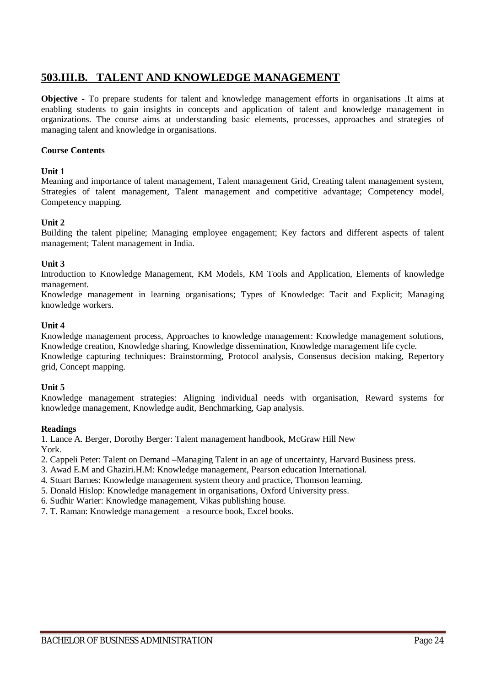# **503.III.B. TALENT AND KNOWLEDGE MANAGEMENT**

**Objective** - To prepare students for talent and knowledge management efforts in organisations .It aims at enabling students to gain insights in concepts and application of talent and knowledge management in organizations. The course aims at understanding basic elements, processes, approaches and strategies of managing talent and knowledge in organisations.

#### **Course Contents**

#### **Unit 1**

Meaning and importance of talent management, Talent management Grid, Creating talent management system, Strategies of talent management, Talent management and competitive advantage; Competency model, Competency mapping.

#### **Unit 2**

Building the talent pipeline; Managing employee engagement; Key factors and different aspects of talent management; Talent management in India.

#### **Unit 3**

Introduction to Knowledge Management, KM Models, KM Tools and Application, Elements of knowledge management.

Knowledge management in learning organisations; Types of Knowledge: Tacit and Explicit; Managing knowledge workers.

#### **Unit 4**

Knowledge management process, Approaches to knowledge management: Knowledge management solutions, Knowledge creation, Knowledge sharing, Knowledge dissemination, Knowledge management life cycle. Knowledge capturing techniques: Brainstorming, Protocol analysis, Consensus decision making, Repertory grid, Concept mapping.

#### **Unit 5**

Knowledge management strategies: Aligning individual needs with organisation, Reward systems for knowledge management, Knowledge audit, Benchmarking, Gap analysis.

#### **Readings**

1. Lance A. Berger, Dorothy Berger: Talent management handbook, McGraw Hill New York.

2. Cappeli Peter: Talent on Demand –Managing Talent in an age of uncertainty, Harvard Business press.

3. Awad E.M and Ghaziri.H.M: Knowledge management, Pearson education International.

4. Stuart Barnes: Knowledge management system theory and practice, Thomson learning.

5. Donald Hislop: Knowledge management in organisations, Oxford University press.

6. Sudhir Warier: Knowledge management, Vikas publishing house.

7. T. Raman: Knowledge management –a resource book, Excel books.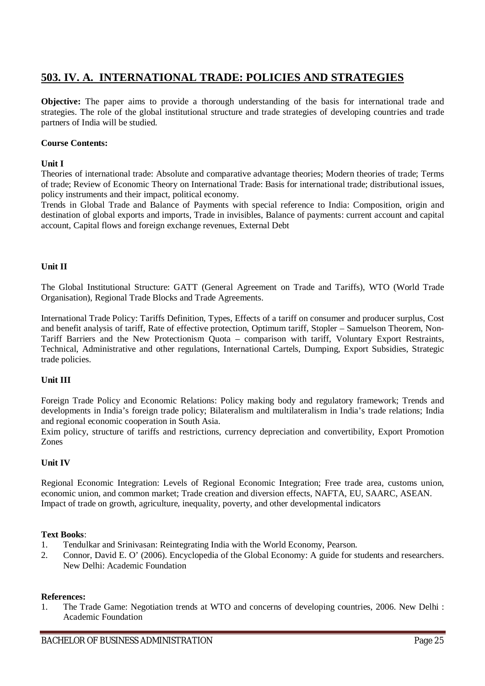# **503. IV. A. INTERNATIONAL TRADE: POLICIES AND STRATEGIES**

**Objective:** The paper aims to provide a thorough understanding of the basis for international trade and strategies. The role of the global institutional structure and trade strategies of developing countries and trade partners of India will be studied.

#### **Course Contents:**

#### **Unit I**

Theories of international trade: Absolute and comparative advantage theories; Modern theories of trade; Terms of trade; Review of Economic Theory on International Trade: Basis for international trade; distributional issues, policy instruments and their impact, political economy.

Trends in Global Trade and Balance of Payments with special reference to India: Composition, origin and destination of global exports and imports, Trade in invisibles, Balance of payments: current account and capital account, Capital flows and foreign exchange revenues, External Debt

#### **Unit II**

The Global Institutional Structure: GATT (General Agreement on Trade and Tariffs), WTO (World Trade Organisation), Regional Trade Blocks and Trade Agreements.

International Trade Policy: Tariffs Definition, Types, Effects of a tariff on consumer and producer surplus, Cost and benefit analysis of tariff, Rate of effective protection, Optimum tariff, Stopler – Samuelson Theorem, Non-Tariff Barriers and the New Protectionism Quota – comparison with tariff, Voluntary Export Restraints, Technical, Administrative and other regulations, International Cartels, Dumping, Export Subsidies, Strategic trade policies.

#### **Unit III**

Foreign Trade Policy and Economic Relations: Policy making body and regulatory framework; Trends and developments in India's foreign trade policy; Bilateralism and multilateralism in India's trade relations; India and regional economic cooperation in South Asia.

Exim policy, structure of tariffs and restrictions, currency depreciation and convertibility, Export Promotion Zones

#### **Unit IV**

Regional Economic Integration: Levels of Regional Economic Integration; Free trade area, customs union, economic union, and common market; Trade creation and diversion effects, NAFTA, EU, SAARC, ASEAN. Impact of trade on growth, agriculture, inequality, poverty, and other developmental indicators

#### **Text Books**:

- 1. Tendulkar and Srinivasan: Reintegrating India with the World Economy, Pearson.
- 2. Connor, David E. O' (2006). Encyclopedia of the Global Economy: A guide for students and researchers. New Delhi: Academic Foundation

#### **References:**

1. The Trade Game: Negotiation trends at WTO and concerns of developing countries, 2006. New Delhi : Academic Foundation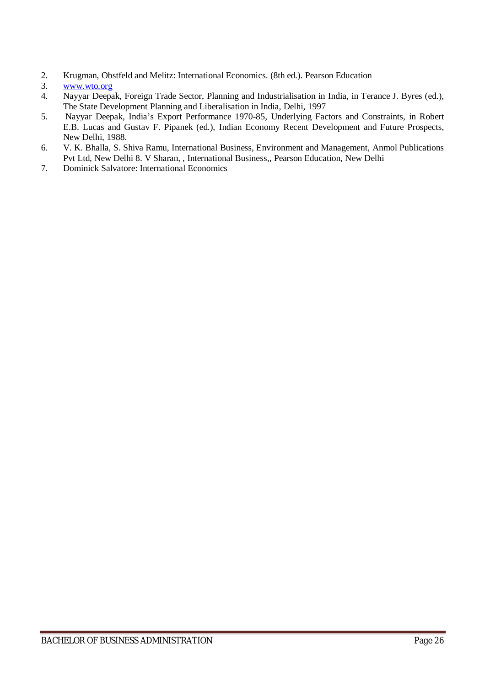- 2. Krugman, Obstfeld and Melitz: International Economics. (8th ed.). Pearson Education<br>3. www.wto.org
- 3. www.wto.org
- 4. Nayyar Deepak, Foreign Trade Sector, Planning and Industrialisation in India, in Terance J. Byres (ed.), The State Development Planning and Liberalisation in India, Delhi, 1997
- 5. Nayyar Deepak, India's Export Performance 1970-85, Underlying Factors and Constraints, in Robert E.B. Lucas and Gustav F. Pipanek (ed.), Indian Economy Recent Development and Future Prospects, New Delhi, 1988.
- 6. V. K. Bhalla, S. Shiva Ramu, International Business, Environment and Management, Anmol Publications Pvt Ltd, New Delhi 8. V Sharan, , International Business,, Pearson Education, New Delhi
- 7. Dominick Salvatore: International Economics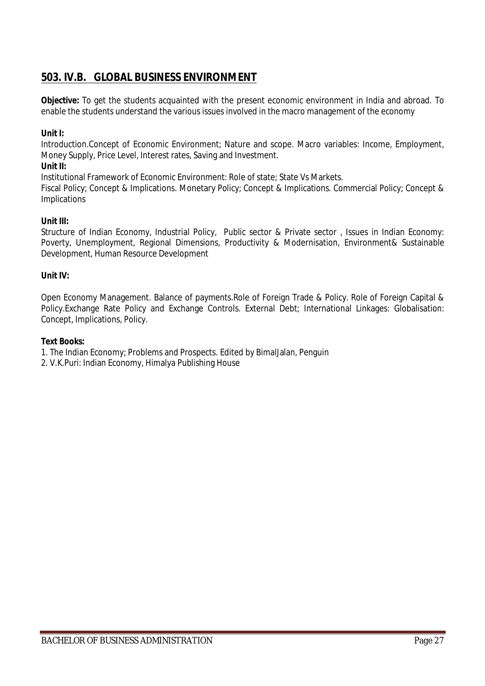# **503. IV.B. GLOBAL BUSINESS ENVIRONMENT**

**Objective:** To get the students acquainted with the present economic environment in India and abroad. To enable the students understand the various issues involved in the macro management of the economy

### **Unit I:**

Introduction.Concept of Economic Environment; Nature and scope. Macro variables: Income, Employment, Money Supply, Price Level, Interest rates, Saving and Investment.

### **Unit II:**

Institutional Framework of Economic Environment: Role of state; State Vs Markets.

Fiscal Policy; Concept & Implications. Monetary Policy; Concept & Implications. Commercial Policy; Concept & Implications

### **Unit III:**

Structure of Indian Economy, Industrial Policy, Public sector & Private sector, Issues in Indian Economy: Poverty, Unemployment, Regional Dimensions, Productivity & Modernisation, Environment& Sustainable Development, Human Resource Development

#### **Unit IV:**

Open Economy Management. Balance of payments.Role of Foreign Trade & Policy. Role of Foreign Capital & Policy.Exchange Rate Policy and Exchange Controls. External Debt; International Linkages: Globalisation: Concept, Implications, Policy.

#### **Text Books:**

- 1. The Indian Economy; Problems and Prospects. Edited by BimalJalan, Penguin
- 2. V.K.Puri: Indian Economy, Himalya Publishing House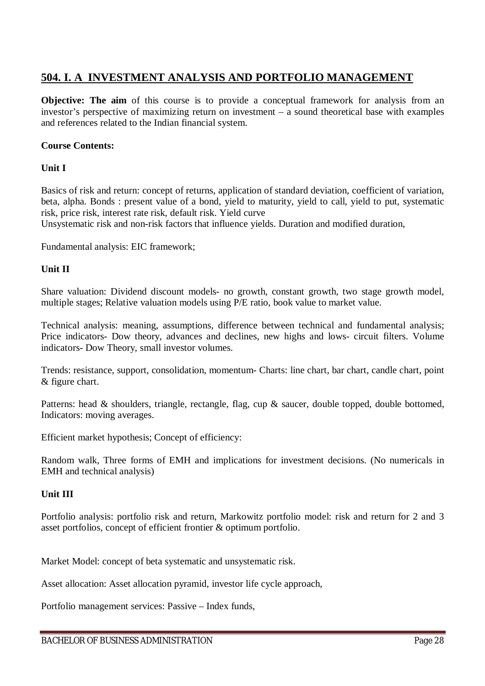# **504. I. A INVESTMENT ANALYSIS AND PORTFOLIO MANAGEMENT**

**Objective:** The aim of this course is to provide a conceptual framework for analysis from an investor's perspective of maximizing return on investment – a sound theoretical base with examples and references related to the Indian financial system.

# **Course Contents:**

# **Unit I**

Basics of risk and return: concept of returns, application of standard deviation, coefficient of variation, beta, alpha. Bonds : present value of a bond, yield to maturity, yield to call, yield to put, systematic risk, price risk, interest rate risk, default risk. Yield curve

Unsystematic risk and non-risk factors that influence yields. Duration and modified duration,

Fundamental analysis: EIC framework;

# **Unit II**

Share valuation: Dividend discount models- no growth, constant growth, two stage growth model, multiple stages; Relative valuation models using P/E ratio, book value to market value.

Technical analysis: meaning, assumptions, difference between technical and fundamental analysis; Price indicators- Dow theory, advances and declines, new highs and lows- circuit filters. Volume indicators- Dow Theory, small investor volumes.

Trends: resistance, support, consolidation, momentum- Charts: line chart, bar chart, candle chart, point & figure chart.

Patterns: head & shoulders, triangle, rectangle, flag, cup & saucer, double topped, double bottomed, Indicators: moving averages.

Efficient market hypothesis; Concept of efficiency:

Random walk, Three forms of EMH and implications for investment decisions. (No numericals in EMH and technical analysis)

# **Unit III**

Portfolio analysis: portfolio risk and return, Markowitz portfolio model: risk and return for 2 and 3 asset portfolios, concept of efficient frontier & optimum portfolio.

Market Model: concept of beta systematic and unsystematic risk.

Asset allocation: Asset allocation pyramid, investor life cycle approach,

Portfolio management services: Passive – Index funds,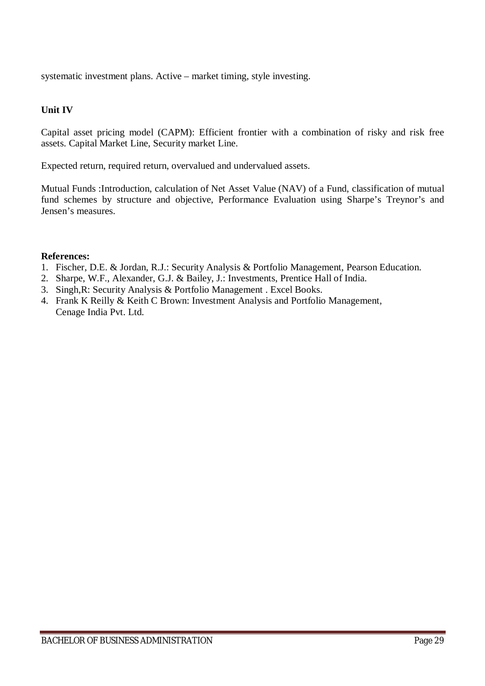systematic investment plans. Active – market timing, style investing.

# **Unit IV**

Capital asset pricing model (CAPM): Efficient frontier with a combination of risky and risk free assets. Capital Market Line, Security market Line.

Expected return, required return, overvalued and undervalued assets.

Mutual Funds :Introduction, calculation of Net Asset Value (NAV) of a Fund, classification of mutual fund schemes by structure and objective, Performance Evaluation using Sharpe's Treynor's and Jensen's measures.

### **References:**

- 1. Fischer, D.E. & Jordan, R.J.: Security Analysis & Portfolio Management, Pearson Education.
- 2. Sharpe, W.F., Alexander, G.J. & Bailey, J.: Investments, Prentice Hall of India.
- 3. Singh,R: Security Analysis & Portfolio Management . Excel Books.
- 4. Frank K Reilly & Keith C Brown: Investment Analysis and Portfolio Management, Cenage India Pvt. Ltd.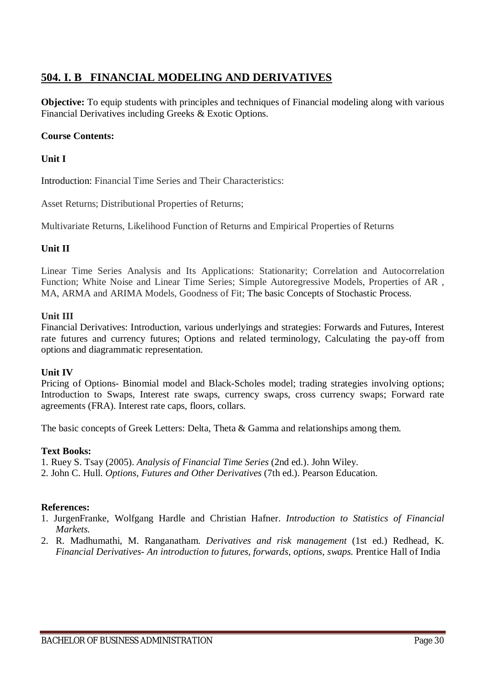# **504. I. B FINANCIAL MODELING AND DERIVATIVES**

**Objective:** To equip students with principles and techniques of Financial modeling along with various Financial Derivatives including Greeks & Exotic Options.

# **Course Contents:**

# **Unit I**

Introduction: Financial Time Series and Their Characteristics:

Asset Returns; Distributional Properties of Returns;

Multivariate Returns, Likelihood Function of Returns and Empirical Properties of Returns

# **Unit II**

Linear Time Series Analysis and Its Applications: Stationarity; Correlation and Autocorrelation Function; White Noise and Linear Time Series; Simple Autoregressive Models, Properties of AR , MA, ARMA and ARIMA Models, Goodness of Fit; The basic Concepts of Stochastic Process.

### **Unit III**

Financial Derivatives: Introduction, various underlyings and strategies: Forwards and Futures, Interest rate futures and currency futures; Options and related terminology, Calculating the pay-off from options and diagrammatic representation.

#### **Unit IV**

Pricing of Options- Binomial model and Black-Scholes model; trading strategies involving options; Introduction to Swaps, Interest rate swaps, currency swaps, cross currency swaps; Forward rate agreements (FRA). Interest rate caps, floors, collars.

The basic concepts of Greek Letters: Delta, Theta & Gamma and relationships among them.

# **Text Books:**

1. Ruey S. Tsay (2005). *Analysis of Financial Time Series* (2nd ed.). John Wiley.

2. John C. Hull. *Options, Futures and Other Derivatives* (7th ed.). Pearson Education.

# **References:**

- 1. JurgenFranke, Wolfgang Hardle and Christian Hafner. *Introduction to Statistics of Financial Markets.*
- 2. R. Madhumathi, M. Ranganatham. *Derivatives and risk management* (1st ed.) Redhead, K. *Financial Derivatives- An introduction to futures, forwards, options, swaps.* Prentice Hall of India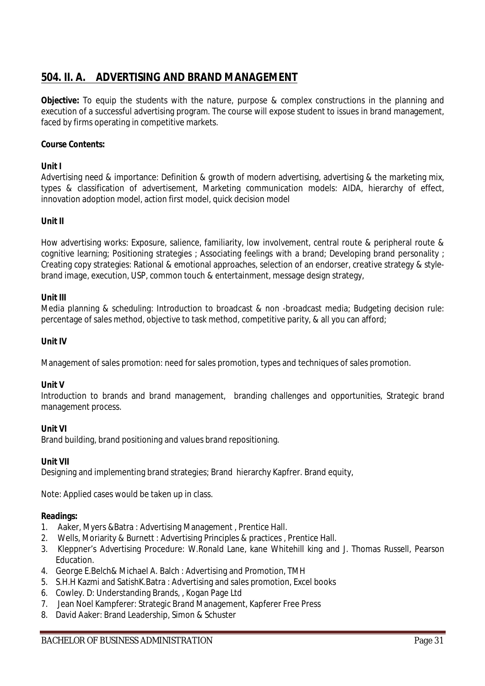# **504. II. A. ADVERTISING AND BRAND MANAGEMENT**

**Objective:** To equip the students with the nature, purpose & complex constructions in the planning and execution of a successful advertising program. The course will expose student to issues in brand management, faced by firms operating in competitive markets.

# **Course Contents:**

# **Unit I**

Advertising need & importance: Definition & growth of modern advertising, advertising & the marketing mix, types & classification of advertisement, Marketing communication models: AIDA, hierarchy of effect, innovation adoption model, action first model, quick decision model

# **Unit II**

How advertising works: Exposure, salience, familiarity, low involvement, central route & peripheral route & cognitive learning; Positioning strategies ; Associating feelings with a brand; Developing brand personality ; Creating copy strategies: Rational & emotional approaches, selection of an endorser, creative strategy & stylebrand image, execution, USP, common touch & entertainment, message design strategy,

### **Unit III**

Media planning & scheduling: Introduction to broadcast & non -broadcast media; Budgeting decision rule: percentage of sales method, objective to task method, competitive parity, & all you can afford;

### **Unit IV**

Management of sales promotion: need for sales promotion, types and techniques of sales promotion.

#### **Unit V**

Introduction to brands and brand management, branding challenges and opportunities, Strategic brand management process.

#### **Unit VI**

Brand building, brand positioning and values brand repositioning.

#### **Unit VII**

Designing and implementing brand strategies; Brand hierarchy Kapfrer. Brand equity,

Note: Applied cases would be taken up in class.

- 1. Aaker, Myers &Batra : Advertising Management , Prentice Hall.
- 2. Wells, Moriarity & Burnett : Advertising Principles & practices , Prentice Hall.
- 3. Kleppner's Advertising Procedure: W.Ronald Lane, kane Whitehill king and J. Thomas Russell, Pearson Education.
- 4. George E.Belch& Michael A. Balch : Advertising and Promotion, TMH
- 5. S.H.H Kazmi and SatishK.Batra : Advertising and sales promotion, Excel books
- 6. Cowley. D: Understanding Brands, , Kogan Page Ltd
- 7. Jean Noel Kampferer: Strategic Brand Management, Kapferer Free Press
- 8. David Aaker: Brand Leadership, Simon & Schuster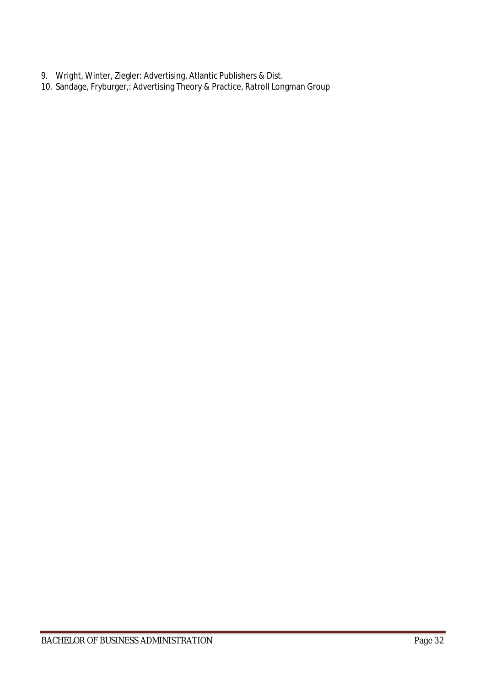- 9. Wright, Winter, Ziegler: Advertising, Atlantic Publishers & Dist.
- 10. Sandage, Fryburger,: Advertising Theory & Practice, Ratroll Longman Group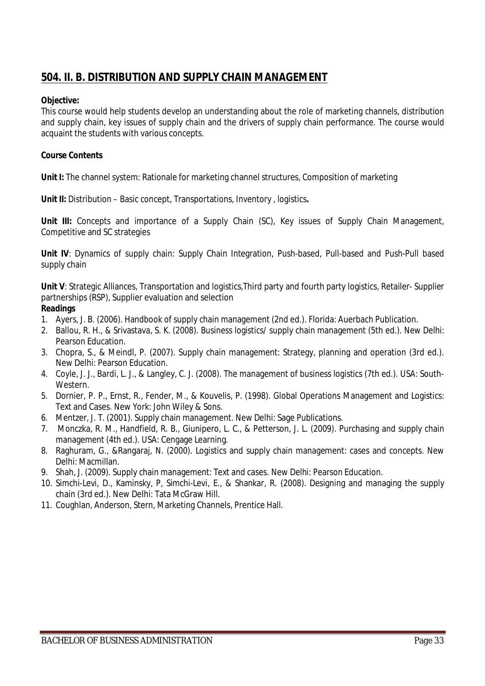# **504. II. B. DISTRIBUTION AND SUPPLY CHAIN MANAGEMENT**

#### **Objective:**

This course would help students develop an understanding about the role of marketing channels, distribution and supply chain, key issues of supply chain and the drivers of supply chain performance. The course would acquaint the students with various concepts.

### **Course Contents**

Unit I: The channel system: Rationale for marketing channel structures, Composition of marketing

**Unit II:** Distribution – Basic concept, Transportations, Inventory , logistics**.**

**Unit III:** Concepts and importance of a Supply Chain (SC), Key issues of Supply Chain Management, Competitive and SC strategies

**Unit IV**: Dynamics of supply chain: Supply Chain Integration, Push-based, Pull-based and Push-Pull based supply chain

**Unit V**: Strategic Alliances, Transportation and logistics,Third party and fourth party logistics, Retailer- Supplier partnerships (RSP), Supplier evaluation and selection

- 1. Ayers, J. B. (2006). Handbook of supply chain management (2nd ed.). Florida: Auerbach Publication.
- 2. Ballou, R. H., & Srivastava, S. K. (2008). Business logistics/ supply chain management (5th ed.). New Delhi: Pearson Education.
- 3. Chopra, S., & Meindl, P. (2007). Supply chain management: Strategy, planning and operation (3rd ed.). New Delhi: Pearson Education.
- 4. Coyle, J. J., Bardi, L. J., & Langley, C. J. (2008). The management of business logistics (7th ed.). USA: South-**Western**
- 5. Dornier, P. P., Ernst, R., Fender, M., & Kouvelis, P. (1998). Global Operations Management and Logistics: Text and Cases. New York: John Wiley & Sons.
- 6. Mentzer, J. T. (2001). Supply chain management. New Delhi: Sage Publications.
- 7. Monczka, R. M., Handfield, R. B., Giunipero, L. C., & Petterson, J. L. (2009). Purchasing and supply chain management (4th ed.). USA: Cengage Learning.
- 8. Raghuram, G., &Rangaraj, N. (2000). Logistics and supply chain management: cases and concepts. New Delhi: Macmillan.
- 9. Shah, J. (2009). Supply chain management: Text and cases. New Delhi: Pearson Education.
- 10. Simchi-Levi, D., Kaminsky, P, Simchi-Levi, E., & Shankar, R. (2008). Designing and managing the supply chain (3rd ed.). New Delhi: Tata McGraw Hill.
- 11. Coughlan, Anderson, Stern, Marketing Channels, Prentice Hall.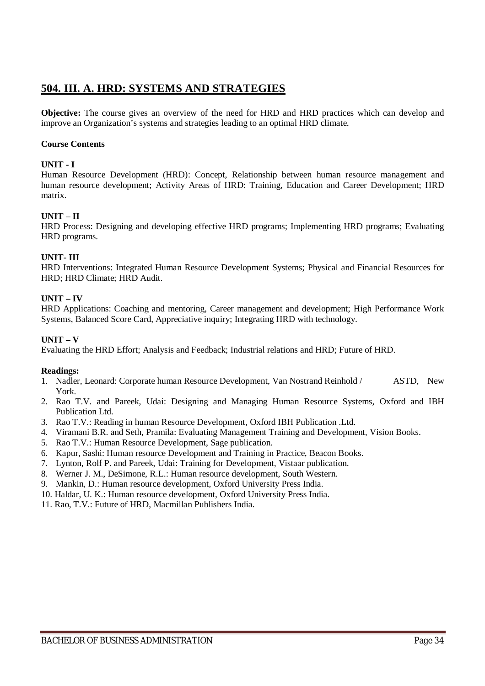# **504. III. A. HRD: SYSTEMS AND STRATEGIES**

**Objective:** The course gives an overview of the need for HRD and HRD practices which can develop and improve an Organization's systems and strategies leading to an optimal HRD climate.

#### **Course Contents**

#### **UNIT - I**

Human Resource Development (HRD): Concept, Relationship between human resource management and human resource development; Activity Areas of HRD: Training, Education and Career Development; HRD matrix.

#### **UNIT – II**

HRD Process: Designing and developing effective HRD programs; Implementing HRD programs; Evaluating HRD programs.

#### **UNIT- III**

HRD Interventions: Integrated Human Resource Development Systems; Physical and Financial Resources for HRD; HRD Climate; HRD Audit.

#### **UNIT – IV**

HRD Applications: Coaching and mentoring, Career management and development; High Performance Work Systems, Balanced Score Card, Appreciative inquiry; Integrating HRD with technology.

### **UNIT – V**

Evaluating the HRD Effort; Analysis and Feedback; Industrial relations and HRD; Future of HRD.

- 1. Nadler, Leonard: Corporate human Resource Development, Van Nostrand Reinhold / ASTD, New York.
- 2. Rao T.V. and Pareek, Udai: Designing and Managing Human Resource Systems, Oxford and IBH Publication Ltd.
- 3. Rao T.V.: Reading in human Resource Development, Oxford IBH Publication .Ltd.
- 4. Viramani B.R. and Seth, Pramila: Evaluating Management Training and Development, Vision Books.
- 5. Rao T.V.: Human Resource Development, Sage publication.
- 6. Kapur, Sashi: Human resource Development and Training in Practice, Beacon Books.
- 7. Lynton, Rolf P. and Pareek, Udai: Training for Development, Vistaar publication.
- 8. Werner J. M., DeSimone, R.L.: Human resource development, South Western.
- 9. Mankin, D.: Human resource development, Oxford University Press India.
- 10. Haldar, U. K.: Human resource development, Oxford University Press India.
- 11. Rao, T.V.: Future of HRD, Macmillan Publishers India.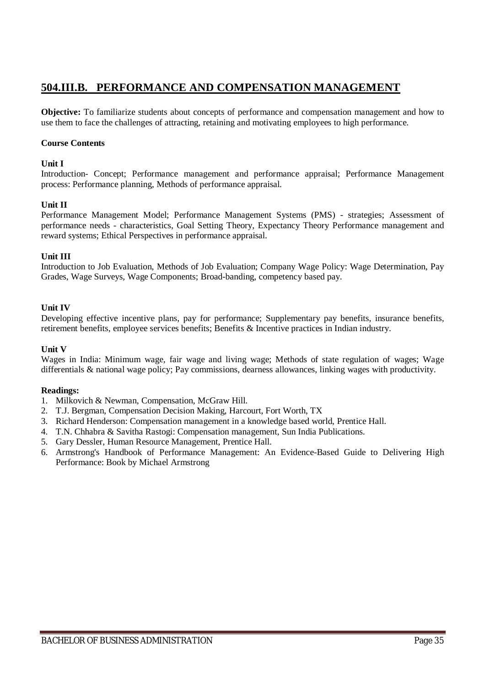# **504.III.B. PERFORMANCE AND COMPENSATION MANAGEMENT**

**Objective:** To familiarize students about concepts of performance and compensation management and how to use them to face the challenges of attracting, retaining and motivating employees to high performance.

#### **Course Contents**

#### **Unit I**

Introduction- Concept; Performance management and performance appraisal; Performance Management process: Performance planning, Methods of performance appraisal.

#### **Unit II**

Performance Management Model; Performance Management Systems (PMS) - strategies; Assessment of performance needs - characteristics, Goal Setting Theory, Expectancy Theory Performance management and reward systems; Ethical Perspectives in performance appraisal.

#### **Unit III**

Introduction to Job Evaluation, Methods of Job Evaluation; Company Wage Policy: Wage Determination, Pay Grades, Wage Surveys, Wage Components; Broad-banding, competency based pay.

#### **Unit IV**

Developing effective incentive plans, pay for performance; Supplementary pay benefits, insurance benefits, retirement benefits, employee services benefits; Benefits & Incentive practices in Indian industry.

#### **Unit V**

Wages in India: Minimum wage, fair wage and living wage; Methods of state regulation of wages; Wage differentials & national wage policy; Pay commissions, dearness allowances, linking wages with productivity.

- 1. Milkovich & Newman, Compensation, McGraw Hill.
- 2. T.J. Bergman, Compensation Decision Making, Harcourt, Fort Worth, TX
- 3. Richard Henderson: Compensation management in a knowledge based world, Prentice Hall.
- 4. T.N. Chhabra & Savitha Rastogi: Compensation management, Sun India Publications.
- 5. Gary Dessler, Human Resource Management, Prentice Hall.
- 6. Armstrong's Handbook of Performance Management: An Evidence-Based Guide to Delivering High Performance: Book by Michael Armstrong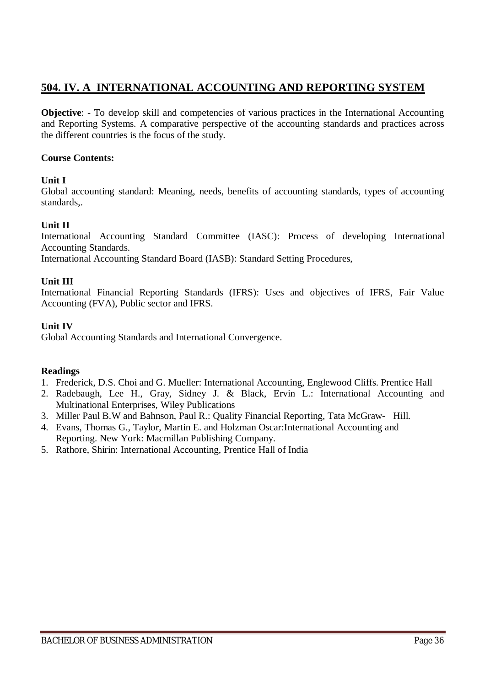# **504. IV. A INTERNATIONAL ACCOUNTING AND REPORTING SYSTEM**

**Objective:** - To develop skill and competencies of various practices in the International Accounting and Reporting Systems. A comparative perspective of the accounting standards and practices across the different countries is the focus of the study.

# **Course Contents:**

# **Unit I**

Global accounting standard: Meaning, needs, benefits of accounting standards, types of accounting standards,.

# **Unit II**

International Accounting Standard Committee (IASC): Process of developing International Accounting Standards.

International Accounting Standard Board (IASB): Standard Setting Procedures,

# **Unit III**

International Financial Reporting Standards (IFRS): Uses and objectives of IFRS, Fair Value Accounting (FVA), Public sector and IFRS.

# **Unit IV**

Global Accounting Standards and International Convergence.

- 1. Frederick, D.S. Choi and G. Mueller: International Accounting, Englewood Cliffs. Prentice Hall
- 2. Radebaugh, Lee H., Gray, Sidney J. & Black, Ervin L.: International Accounting and Multinational Enterprises, Wiley Publications
- 3. Miller Paul B.W and Bahnson, Paul R.: Quality Financial Reporting, Tata McGraw- Hill.
- 4. Evans, Thomas G., Taylor, Martin E. and Holzman Oscar:International Accounting and Reporting. New York: Macmillan Publishing Company.
- 5. Rathore, Shirin: International Accounting, Prentice Hall of India